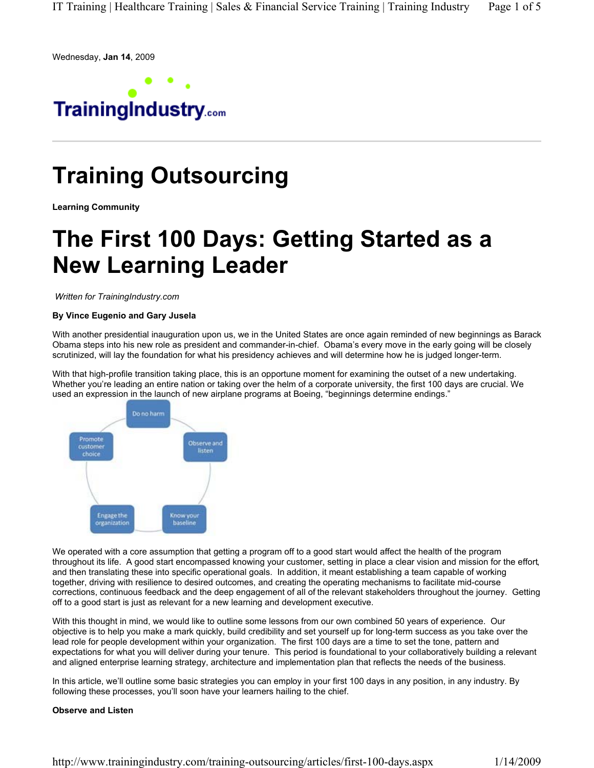Wednesday, **Jan 14**, 2009



# **Training Outsourcing**

**Learning Community**

## **The First 100 Days: Getting Started as a New Learning Leader**

*Written for TrainingIndustry.com*

## **By Vince Eugenio and Gary Jusela**

With another presidential inauguration upon us, we in the United States are once again reminded of new beginnings as Barack Obama steps into his new role as president and commander-in-chief. Obama's every move in the early going will be closely scrutinized, will lay the foundation for what his presidency achieves and will determine how he is judged longer-term.

With that high-profile transition taking place, this is an opportune moment for examining the outset of a new undertaking. Whether you're leading an entire nation or taking over the helm of a corporate university, the first 100 days are crucial. We used an expression in the launch of new airplane programs at Boeing, "beginnings determine endings."



We operated with a core assumption that getting a program off to a good start would affect the health of the program throughout its life. A good start encompassed knowing your customer, setting in place a clear vision and mission for the effort, and then translating these into specific operational goals. In addition, it meant establishing a team capable of working together, driving with resilience to desired outcomes, and creating the operating mechanisms to facilitate mid-course corrections, continuous feedback and the deep engagement of all of the relevant stakeholders throughout the journey. Getting off to a good start is just as relevant for a new learning and development executive.

With this thought in mind, we would like to outline some lessons from our own combined 50 years of experience. Our objective is to help you make a mark quickly, build credibility and set yourself up for long-term success as you take over the lead role for people development within your organization. The first 100 days are a time to set the tone, pattern and expectations for what you will deliver during your tenure. This period is foundational to your collaboratively building a relevant and aligned enterprise learning strategy, architecture and implementation plan that reflects the needs of the business.

In this article, we'll outline some basic strategies you can employ in your first 100 days in any position, in any industry. By following these processes, you'll soon have your learners hailing to the chief.

## **Observe and Listen**

http://www.trainingindustry.com/training-outsourcing/articles/first-100-days.aspx 1/14/2009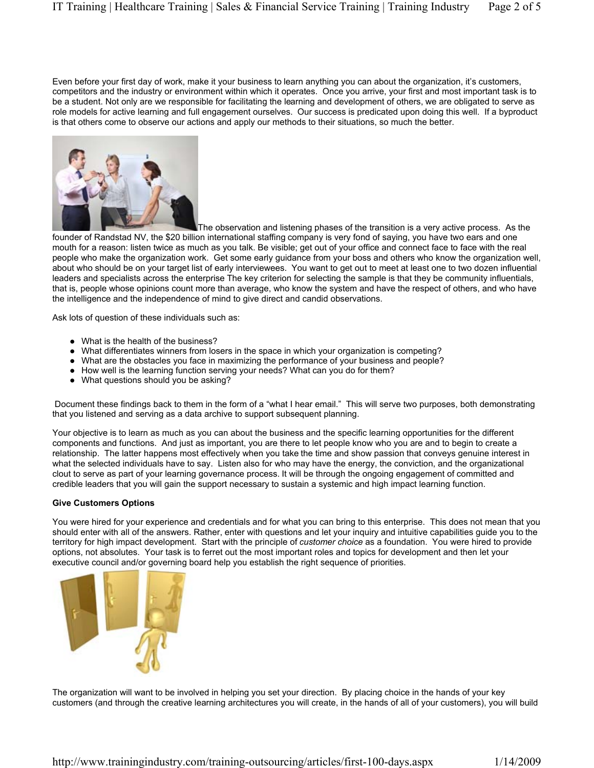Even before your first day of work, make it your business to learn anything you can about the organization, it's customers, competitors and the industry or environment within which it operates. Once you arrive, your first and most important task is to be a student. Not only are we responsible for facilitating the learning and development of others, we are obligated to serve as role models for active learning and full engagement ourselves. Our success is predicated upon doing this well. If a byproduct is that others come to observe our actions and apply our methods to their situations, so much the better.



The observation and listening phases of the transition is a very active process. As the founder of Randstad NV, the \$20 billion international staffing company is very fond of saying, you have two ears and one mouth for a reason: listen twice as much as you talk. Be visible; get out of your office and connect face to face with the real people who make the organization work. Get some early guidance from your boss and others who know the organization well, about who should be on your target list of early interviewees. You want to get out to meet at least one to two dozen influential leaders and specialists across the enterprise The key criterion for selecting the sample is that they be community influentials, that is, people whose opinions count more than average, who know the system and have the respect of others, and who have the intelligence and the independence of mind to give direct and candid observations.

Ask lots of question of these individuals such as:

- What is the health of the business?
- ! What differentiates winners from losers in the space in which your organization is competing?
- ! What are the obstacles you face in maximizing the performance of your business and people?
- How well is the learning function serving your needs? What can you do for them?
- What questions should you be asking?

 Document these findings back to them in the form of a "what I hear email." This will serve two purposes, both demonstrating that you listened and serving as a data archive to support subsequent planning.

Your objective is to learn as much as you can about the business and the specific learning opportunities for the different components and functions. And just as important, you are there to let people know who you are and to begin to create a relationship. The latter happens most effectively when you take the time and show passion that conveys genuine interest in what the selected individuals have to say. Listen also for who may have the energy, the conviction, and the organizational clout to serve as part of your learning governance process. It will be through the ongoing engagement of committed and credible leaders that you will gain the support necessary to sustain a systemic and high impact learning function.

#### **Give Customers Options**

You were hired for your experience and credentials and for what you can bring to this enterprise. This does not mean that you should enter with all of the answers. Rather, enter with questions and let your inquiry and intuitive capabilities guide you to the territory for high impact development. Start with the principle of *customer choice* as a foundation. You were hired to provide options, not absolutes. Your task is to ferret out the most important roles and topics for development and then let your executive council and/or governing board help you establish the right sequence of priorities.



The organization will want to be involved in helping you set your direction. By placing choice in the hands of your key customers (and through the creative learning architectures you will create, in the hands of all of your customers), you will build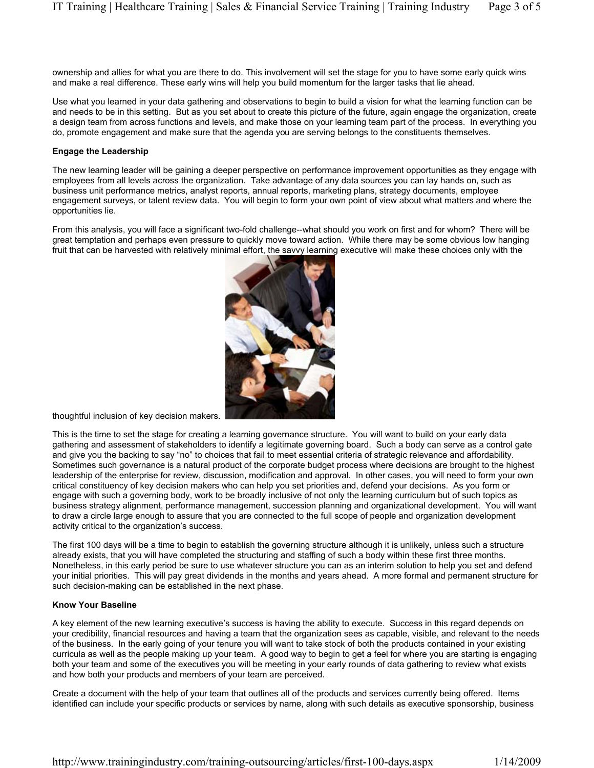ownership and allies for what you are there to do. This involvement will set the stage for you to have some early quick wins and make a real difference. These early wins will help you build momentum for the larger tasks that lie ahead.

Use what you learned in your data gathering and observations to begin to build a vision for what the learning function can be and needs to be in this setting. But as you set about to create this picture of the future, again engage the organization, create a design team from across functions and levels, and make those on your learning team part of the process. In everything you do, promote engagement and make sure that the agenda you are serving belongs to the constituents themselves.

#### **Engage the Leadership**

The new learning leader will be gaining a deeper perspective on performance improvement opportunities as they engage with employees from all levels across the organization. Take advantage of any data sources you can lay hands on, such as business unit performance metrics, analyst reports, annual reports, marketing plans, strategy documents, employee engagement surveys, or talent review data. You will begin to form your own point of view about what matters and where the opportunities lie.

From this analysis, you will face a significant two-fold challenge--what should you work on first and for whom? There will be great temptation and perhaps even pressure to quickly move toward action. While there may be some obvious low hanging fruit that can be harvested with relatively minimal effort, the savvy learning executive will make these choices only with the



thoughtful inclusion of key decision makers.

This is the time to set the stage for creating a learning governance structure. You will want to build on your early data gathering and assessment of stakeholders to identify a legitimate governing board. Such a body can serve as a control gate and give you the backing to say "no" to choices that fail to meet essential criteria of strategic relevance and affordability. Sometimes such governance is a natural product of the corporate budget process where decisions are brought to the highest leadership of the enterprise for review, discussion, modification and approval. In other cases, you will need to form your own critical constituency of key decision makers who can help you set priorities and, defend your decisions. As you form or engage with such a governing body, work to be broadly inclusive of not only the learning curriculum but of such topics as business strategy alignment, performance management, succession planning and organizational development. You will want to draw a circle large enough to assure that you are connected to the full scope of people and organization development activity critical to the organization's success.

The first 100 days will be a time to begin to establish the governing structure although it is unlikely, unless such a structure already exists, that you will have completed the structuring and staffing of such a body within these first three months. Nonetheless, in this early period be sure to use whatever structure you can as an interim solution to help you set and defend your initial priorities. This will pay great dividends in the months and years ahead. A more formal and permanent structure for such decision-making can be established in the next phase.

## **Know Your Baseline**

A key element of the new learning executive's success is having the ability to execute. Success in this regard depends on your credibility, financial resources and having a team that the organization sees as capable, visible, and relevant to the needs of the business. In the early going of your tenure you will want to take stock of both the products contained in your existing curricula as well as the people making up your team. A good way to begin to get a feel for where you are starting is engaging both your team and some of the executives you will be meeting in your early rounds of data gathering to review what exists and how both your products and members of your team are perceived.

Create a document with the help of your team that outlines all of the products and services currently being offered. Items identified can include your specific products or services by name, along with such details as executive sponsorship, business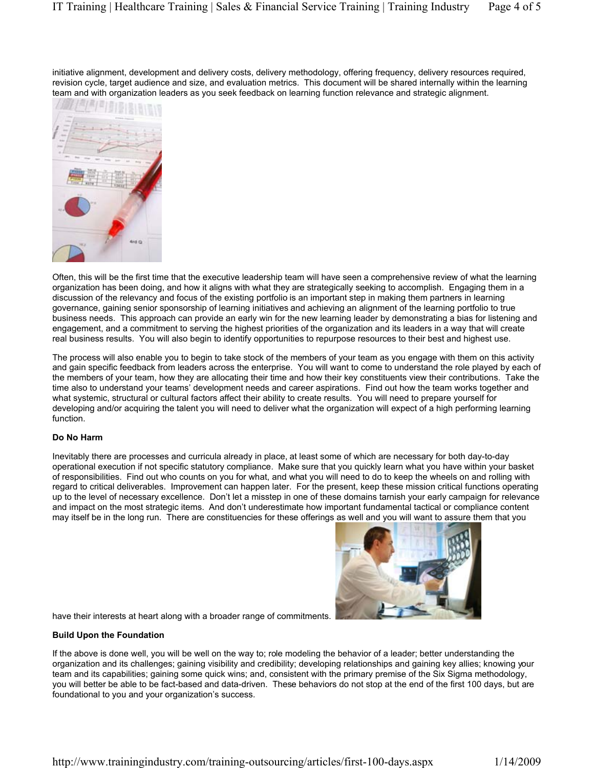initiative alignment, development and delivery costs, delivery methodology, offering frequency, delivery resources required, revision cycle, target audience and size, and evaluation metrics. This document will be shared internally within the learning team and with organization leaders as you seek feedback on learning function relevance and strategic alignment.



Often, this will be the first time that the executive leadership team will have seen a comprehensive review of what the learning organization has been doing, and how it aligns with what they are strategically seeking to accomplish. Engaging them in a discussion of the relevancy and focus of the existing portfolio is an important step in making them partners in learning governance, gaining senior sponsorship of learning initiatives and achieving an alignment of the learning portfolio to true business needs. This approach can provide an early win for the new learning leader by demonstrating a bias for listening and engagement, and a commitment to serving the highest priorities of the organization and its leaders in a way that will create real business results. You will also begin to identify opportunities to repurpose resources to their best and highest use.

The process will also enable you to begin to take stock of the members of your team as you engage with them on this activity and gain specific feedback from leaders across the enterprise. You will want to come to understand the role played by each of the members of your team, how they are allocating their time and how their key constituents view their contributions. Take the time also to understand your teams' development needs and career aspirations. Find out how the team works together and what systemic, structural or cultural factors affect their ability to create results. You will need to prepare yourself for developing and/or acquiring the talent you will need to deliver what the organization will expect of a high performing learning function.

## **Do No Harm**

Inevitably there are processes and curricula already in place, at least some of which are necessary for both day-to-day operational execution if not specific statutory compliance. Make sure that you quickly learn what you have within your basket of responsibilities. Find out who counts on you for what, and what you will need to do to keep the wheels on and rolling with regard to critical deliverables. Improvement can happen later. For the present, keep these mission critical functions operating up to the level of necessary excellence. Don't let a misstep in one of these domains tarnish your early campaign for relevance and impact on the most strategic items. And don't underestimate how important fundamental tactical or compliance content may itself be in the long run. There are constituencies for these offerings as well and you will want to assure them that you



have their interests at heart along with a broader range of commitments.

## **Build Upon the Foundation**

If the above is done well, you will be well on the way to; role modeling the behavior of a leader; better understanding the organization and its challenges; gaining visibility and credibility; developing relationships and gaining key allies; knowing your team and its capabilities; gaining some quick wins; and, consistent with the primary premise of the Six Sigma methodology, you will better be able to be fact-based and data-driven. These behaviors do not stop at the end of the first 100 days, but are foundational to you and your organization's success.